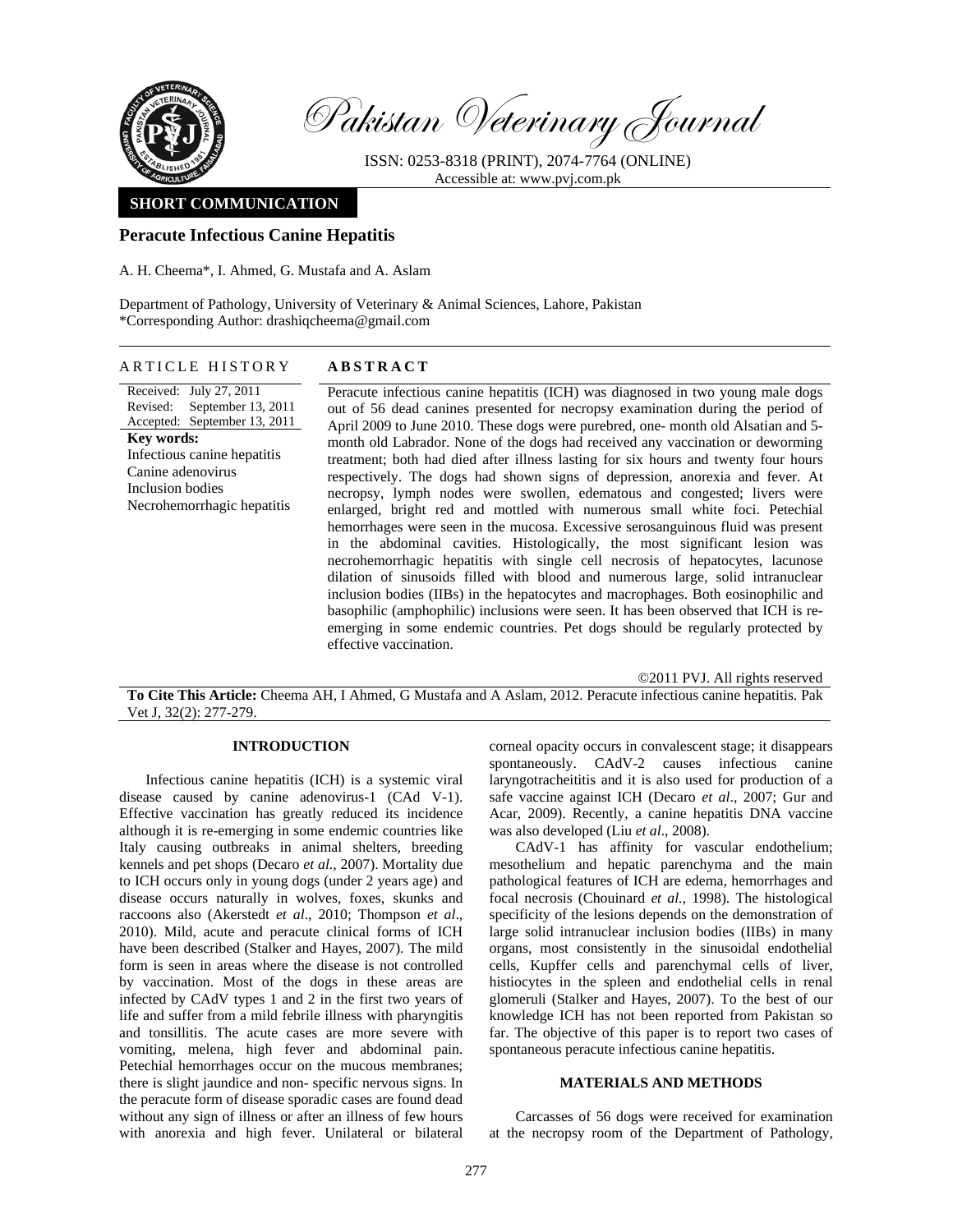

Pakistan Veterinary Journal

ISSN: 0253-8318 (PRINT), 2074-7764 (ONLINE) Accessible at: www.pvj.com.pk

# **SHORT COMMUNICATION**

# **Peracute Infectious Canine Hepatitis**

A. H. Cheema\*, I. Ahmed, G. Mustafa and A. Aslam

Department of Pathology, University of Veterinary & Animal Sciences, Lahore, Pakistan \*Corresponding Author: drashiqcheema@gmail.com

# ARTICLE HISTORY **ABSTRACT**

Received: July 27, 2011 Revised: September 13, 2011 Accepted: September 13, 2011 **Key words:**  Infectious canine hepatitis Canine adenovirus Inclusion bodies Necrohemorrhagic hepatitis

Peracute infectious canine hepatitis (ICH) was diagnosed in two young male dogs out of 56 dead canines presented for necropsy examination during the period of April 2009 to June 2010. These dogs were purebred, one- month old Alsatian and 5 month old Labrador. None of the dogs had received any vaccination or deworming treatment; both had died after illness lasting for six hours and twenty four hours respectively. The dogs had shown signs of depression, anorexia and fever. At necropsy, lymph nodes were swollen, edematous and congested; livers were enlarged, bright red and mottled with numerous small white foci. Petechial hemorrhages were seen in the mucosa. Excessive serosanguinous fluid was present in the abdominal cavities. Histologically, the most significant lesion was necrohemorrhagic hepatitis with single cell necrosis of hepatocytes, lacunose dilation of sinusoids filled with blood and numerous large, solid intranuclear inclusion bodies (IIBs) in the hepatocytes and macrophages. Both eosinophilic and basophilic (amphophilic) inclusions were seen. It has been observed that ICH is reemerging in some endemic countries. Pet dogs should be regularly protected by effective vaccination.

©2011 PVJ. All rights reserved **To Cite This Article:** Cheema AH, I Ahmed, G Mustafa and A Aslam, 2012. Peracute infectious canine hepatitis. Pak Vet J, 32(2): 277-279.

# **INTRODUCTION**

Infectious canine hepatitis (ICH) is a systemic viral disease caused by canine adenovirus-1 (CAd V-1). Effective vaccination has greatly reduced its incidence although it is re-emerging in some endemic countries like Italy causing outbreaks in animal shelters, breeding kennels and pet shops (Decaro *et al.*, 2007). Mortality due to ICH occurs only in young dogs (under 2 years age) and disease occurs naturally in wolves, foxes, skunks and raccoons also (Akerstedt *et al*., 2010; Thompson *et al*., 2010). Mild, acute and peracute clinical forms of ICH have been described (Stalker and Hayes, 2007). The mild form is seen in areas where the disease is not controlled by vaccination. Most of the dogs in these areas are infected by CAdV types 1 and 2 in the first two years of life and suffer from a mild febrile illness with pharyngitis and tonsillitis. The acute cases are more severe with vomiting, melena, high fever and abdominal pain. Petechial hemorrhages occur on the mucous membranes; there is slight jaundice and non- specific nervous signs. In the peracute form of disease sporadic cases are found dead without any sign of illness or after an illness of few hours with anorexia and high fever. Unilateral or bilateral

corneal opacity occurs in convalescent stage; it disappears spontaneously. CAdV-2 causes infectious canine laryngotracheititis and it is also used for production of a safe vaccine against ICH (Decaro *et al*., 2007; Gur and Acar, 2009). Recently, a canine hepatitis DNA vaccine was also developed (Liu *et al*., 2008).

CAdV-1 has affinity for vascular endothelium; mesothelium and hepatic parenchyma and the main pathological features of ICH are edema, hemorrhages and focal necrosis (Chouinard *et al.*, 1998). The histological specificity of the lesions depends on the demonstration of large solid intranuclear inclusion bodies (IIBs) in many organs, most consistently in the sinusoidal endothelial cells, Kupffer cells and parenchymal cells of liver, histiocytes in the spleen and endothelial cells in renal glomeruli (Stalker and Hayes, 2007). To the best of our knowledge ICH has not been reported from Pakistan so far. The objective of this paper is to report two cases of spontaneous peracute infectious canine hepatitis.

#### **MATERIALS AND METHODS**

Carcasses of 56 dogs were received for examination at the necropsy room of the Department of Pathology,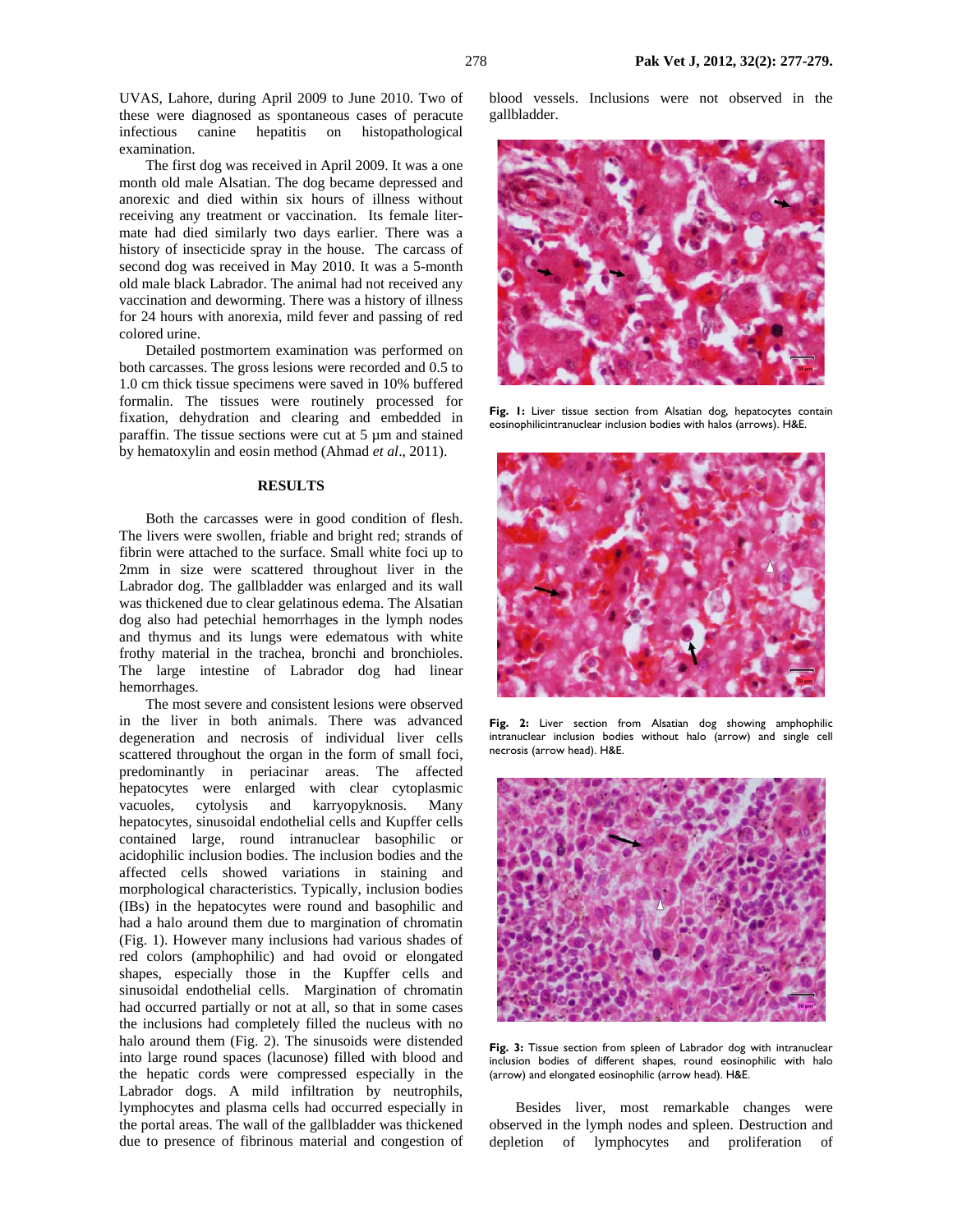UVAS, Lahore, during April 2009 to June 2010. Two of these were diagnosed as spontaneous cases of peracute infectious canine hepatitis on histopathological examination.

The first dog was received in April 2009. It was a one month old male Alsatian. The dog became depressed and anorexic and died within six hours of illness without receiving any treatment or vaccination. Its female litermate had died similarly two days earlier. There was a history of insecticide spray in the house. The carcass of second dog was received in May 2010. It was a 5-month old male black Labrador. The animal had not received any vaccination and deworming. There was a history of illness for 24 hours with anorexia, mild fever and passing of red colored urine.

Detailed postmortem examination was performed on both carcasses. The gross lesions were recorded and 0.5 to 1.0 cm thick tissue specimens were saved in 10% buffered formalin. The tissues were routinely processed for fixation, dehydration and clearing and embedded in paraffin. The tissue sections were cut at 5 µm and stained by hematoxylin and eosin method (Ahmad *et al*., 2011).

#### **RESULTS**

Both the carcasses were in good condition of flesh. The livers were swollen, friable and bright red; strands of fibrin were attached to the surface. Small white foci up to 2mm in size were scattered throughout liver in the Labrador dog. The gallbladder was enlarged and its wall was thickened due to clear gelatinous edema. The Alsatian dog also had petechial hemorrhages in the lymph nodes and thymus and its lungs were edematous with white frothy material in the trachea, bronchi and bronchioles. The large intestine of Labrador dog had linear hemorrhages.

The most severe and consistent lesions were observed in the liver in both animals. There was advanced degeneration and necrosis of individual liver cells scattered throughout the organ in the form of small foci, predominantly in periacinar areas. The affected hepatocytes were enlarged with clear cytoplasmic vacuoles, cytolysis and karryopyknosis. Many hepatocytes, sinusoidal endothelial cells and Kupffer cells contained large, round intranuclear basophilic or acidophilic inclusion bodies. The inclusion bodies and the affected cells showed variations in staining and morphological characteristics. Typically, inclusion bodies (IBs) in the hepatocytes were round and basophilic and had a halo around them due to margination of chromatin (Fig. 1). However many inclusions had various shades of red colors (amphophilic) and had ovoid or elongated shapes, especially those in the Kupffer cells and sinusoidal endothelial cells. Margination of chromatin had occurred partially or not at all, so that in some cases the inclusions had completely filled the nucleus with no halo around them (Fig. 2). The sinusoids were distended into large round spaces (lacunose) filled with blood and the hepatic cords were compressed especially in the Labrador dogs. A mild infiltration by neutrophils, lymphocytes and plasma cells had occurred especially in the portal areas. The wall of the gallbladder was thickened due to presence of fibrinous material and congestion of blood vessels. Inclusions were not observed in the gallbladder.



Fig. 1: Liver tissue section from Alsatian dog, hepatocytes contain eosinophilicintranuclear inclusion bodies with halos (arrows). H&E.



**Fig. 2:** Liver section from Alsatian dog showing amphophilic intranuclear inclusion bodies without halo (arrow) and single cell necrosis (arrow head). H&E.



**Fig. 3:** Tissue section from spleen of Labrador dog with intranuclear inclusion bodies of different shapes, round eosinophilic with halo (arrow) and elongated eosinophilic (arrow head). H&E.

Besides liver, most remarkable changes were observed in the lymph nodes and spleen. Destruction and depletion of lymphocytes and proliferation of